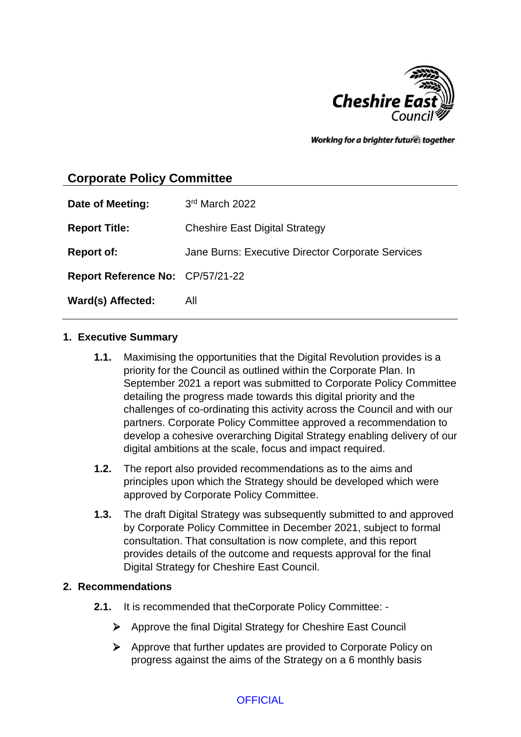

Working for a brighter futures together

# **Corporate Policy Committee**

| Date of Meeting:                 | 3rd March 2022                                    |
|----------------------------------|---------------------------------------------------|
| <b>Report Title:</b>             | <b>Cheshire East Digital Strategy</b>             |
| <b>Report of:</b>                | Jane Burns: Executive Director Corporate Services |
| Report Reference No: CP/57/21-22 |                                                   |
| Ward(s) Affected:                | All                                               |

## **1. Executive Summary**

- **1.1.** Maximising the opportunities that the Digital Revolution provides is a priority for the Council as outlined within the Corporate Plan. In September 2021 a report was submitted to Corporate Policy Committee detailing the progress made towards this digital priority and the challenges of co-ordinating this activity across the Council and with our partners. Corporate Policy Committee approved a recommendation to develop a cohesive overarching Digital Strategy enabling delivery of our digital ambitions at the scale, focus and impact required.
- **1.2.** The report also provided recommendations as to the aims and principles upon which the Strategy should be developed which were approved by Corporate Policy Committee.
- **1.3.** The draft Digital Strategy was subsequently submitted to and approved by Corporate Policy Committee in December 2021, subject to formal consultation. That consultation is now complete, and this report provides details of the outcome and requests approval for the final Digital Strategy for Cheshire East Council.

### **2. Recommendations**

- **2.1.** It is recommended that theCorporate Policy Committee:
	- $\triangleright$  Approve the final Digital Strategy for Cheshire East Council
	- Approve that further updates are provided to Corporate Policy on progress against the aims of the Strategy on a 6 monthly basis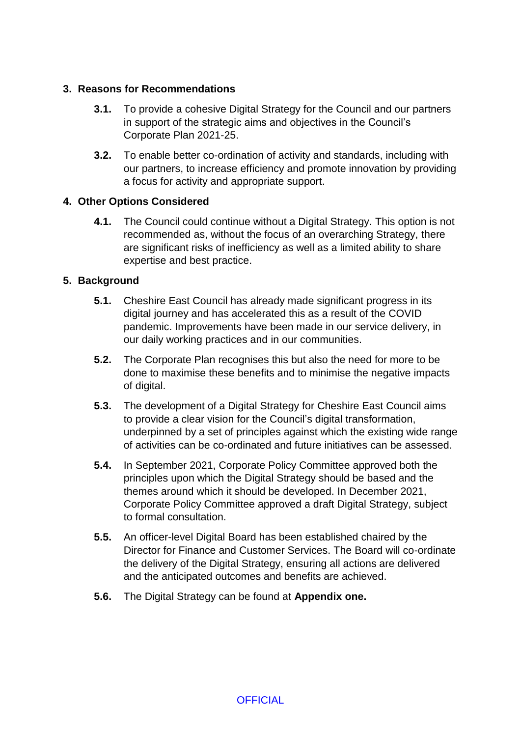## **3. Reasons for Recommendations**

- **3.1.** To provide a cohesive Digital Strategy for the Council and our partners in support of the strategic aims and objectives in the Council's Corporate Plan 2021-25.
- **3.2.** To enable better co-ordination of activity and standards, including with our partners, to increase efficiency and promote innovation by providing a focus for activity and appropriate support.

### **4. Other Options Considered**

**4.1.** The Council could continue without a Digital Strategy. This option is not recommended as, without the focus of an overarching Strategy, there are significant risks of inefficiency as well as a limited ability to share expertise and best practice.

## **5. Background**

- **5.1.** Cheshire East Council has already made significant progress in its digital journey and has accelerated this as a result of the COVID pandemic. Improvements have been made in our service delivery, in our daily working practices and in our communities.
- **5.2.** The Corporate Plan recognises this but also the need for more to be done to maximise these benefits and to minimise the negative impacts of digital.
- **5.3.** The development of a Digital Strategy for Cheshire East Council aims to provide a clear vision for the Council's digital transformation, underpinned by a set of principles against which the existing wide range of activities can be co-ordinated and future initiatives can be assessed.
- **5.4.** In September 2021, Corporate Policy Committee approved both the principles upon which the Digital Strategy should be based and the themes around which it should be developed. In December 2021, Corporate Policy Committee approved a draft Digital Strategy, subject to formal consultation.
- **5.5.** An officer-level Digital Board has been established chaired by the Director for Finance and Customer Services. The Board will co-ordinate the delivery of the Digital Strategy, ensuring all actions are delivered and the anticipated outcomes and benefits are achieved.
- **5.6.** The Digital Strategy can be found at **Appendix one.**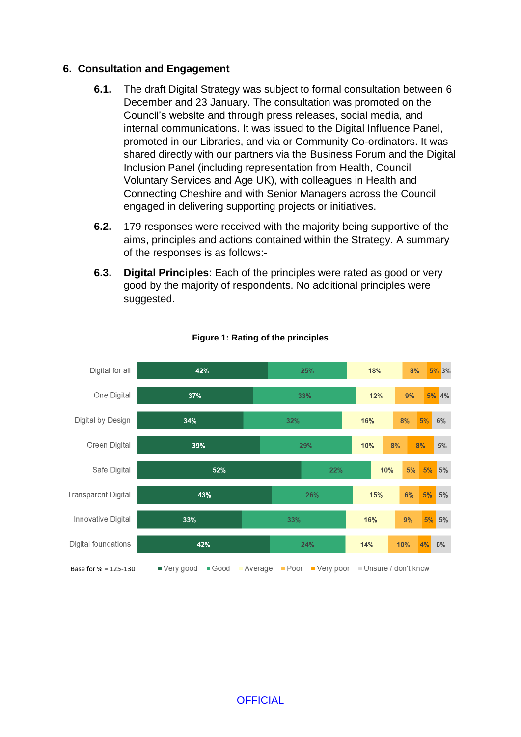#### **6. Consultation and Engagement**

- **6.1.** The draft Digital Strategy was subject to formal consultation between 6 December and 23 January. The consultation was promoted on the Council's website and through press releases, social media, and internal communications. It was issued to the Digital Influence Panel, promoted in our Libraries, and via or Community Co-ordinators. It was shared directly with our partners via the Business Forum and the Digital Inclusion Panel (including representation from Health, Council Voluntary Services and Age UK), with colleagues in Health and Connecting Cheshire and with Senior Managers across the Council engaged in delivering supporting projects or initiatives.
- **6.2.** 179 responses were received with the majority being supportive of the aims, principles and actions contained within the Strategy. A summary of the responses is as follows:-
- **6.3. Digital Principles**: Each of the principles were rated as good or very good by the majority of respondents. No additional principles were suggested.



#### **Figure 1: Rating of the principles**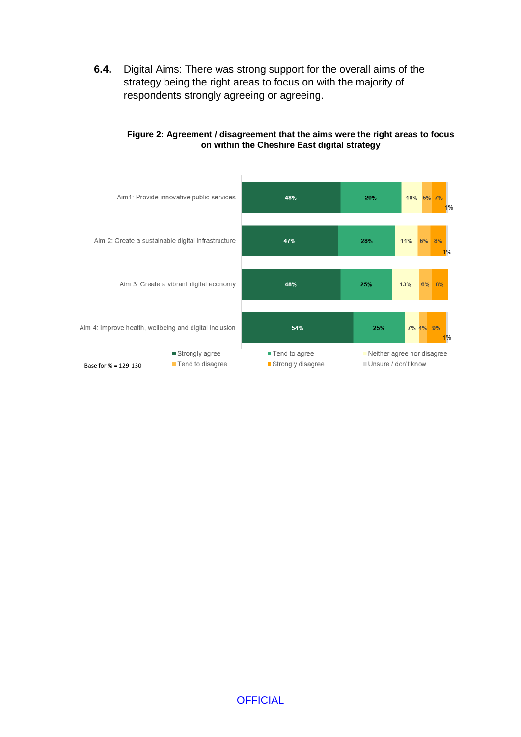**6.4.** Digital Aims: There was strong support for the overall aims of the strategy being the right areas to focus on with the majority of respondents strongly agreeing or agreeing.



#### **Figure 2: Agreement / disagreement that the aims were the right areas to focus on within the Cheshire East digital strategy**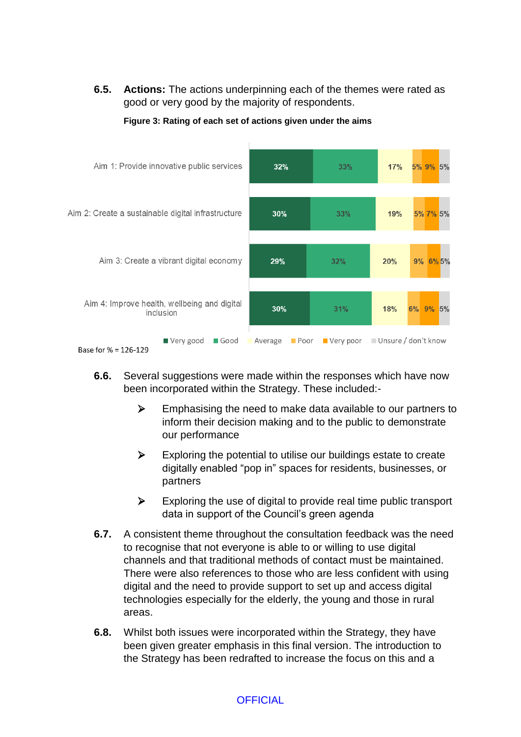**6.5. Actions:** The actions underpinning each of the themes were rated as good or very good by the majority of respondents.



**Figure 3: Rating of each set of actions given under the aims**

- **6.6.** Several suggestions were made within the responses which have now been incorporated within the Strategy. These included:-
	- $\triangleright$  Emphasising the need to make data available to our partners to inform their decision making and to the public to demonstrate our performance
	- $\triangleright$  Exploring the potential to utilise our buildings estate to create digitally enabled "pop in" spaces for residents, businesses, or partners
	- $\triangleright$  Exploring the use of digital to provide real time public transport data in support of the Council's green agenda
- **6.7.** A consistent theme throughout the consultation feedback was the need to recognise that not everyone is able to or willing to use digital channels and that traditional methods of contact must be maintained. There were also references to those who are less confident with using digital and the need to provide support to set up and access digital technologies especially for the elderly, the young and those in rural areas.
- **6.8.** Whilst both issues were incorporated within the Strategy, they have been given greater emphasis in this final version. The introduction to the Strategy has been redrafted to increase the focus on this and a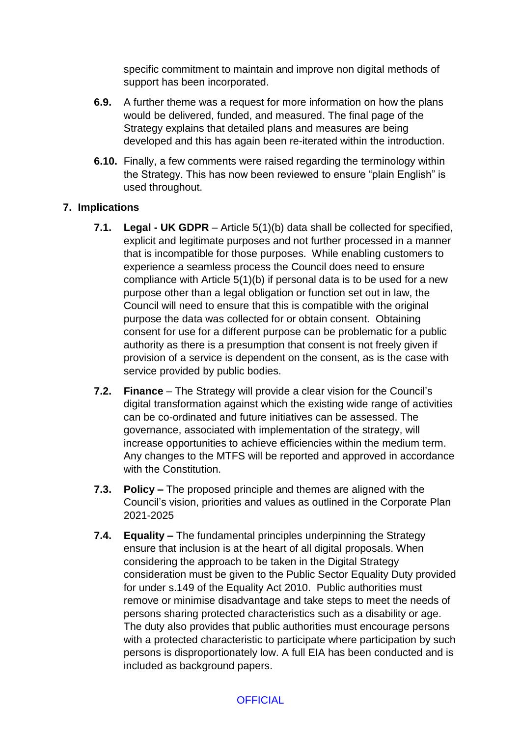specific commitment to maintain and improve non digital methods of support has been incorporated.

- **6.9.** A further theme was a request for more information on how the plans would be delivered, funded, and measured. The final page of the Strategy explains that detailed plans and measures are being developed and this has again been re-iterated within the introduction.
- **6.10.** Finally, a few comments were raised regarding the terminology within the Strategy. This has now been reviewed to ensure "plain English" is used throughout.

## **7. Implications**

- **7.1. Legal - UK GDPR** Article 5(1)(b) data shall be collected for specified, explicit and legitimate purposes and not further processed in a manner that is incompatible for those purposes. While enabling customers to experience a seamless process the Council does need to ensure compliance with Article 5(1)(b) if personal data is to be used for a new purpose other than a legal obligation or function set out in law, the Council will need to ensure that this is compatible with the original purpose the data was collected for or obtain consent. Obtaining consent for use for a different purpose can be problematic for a public authority as there is a presumption that consent is not freely given if provision of a service is dependent on the consent, as is the case with service provided by public bodies.
- **7.2. Finance** The Strategy will provide a clear vision for the Council's digital transformation against which the existing wide range of activities can be co-ordinated and future initiatives can be assessed. The governance, associated with implementation of the strategy, will increase opportunities to achieve efficiencies within the medium term. Any changes to the MTFS will be reported and approved in accordance with the Constitution.
- **7.3. Policy –** The proposed principle and themes are aligned with the Council's vision, priorities and values as outlined in the Corporate Plan 2021-2025
- **7.4. Equality –** The fundamental principles underpinning the Strategy ensure that inclusion is at the heart of all digital proposals. When considering the approach to be taken in the Digital Strategy consideration must be given to the Public Sector Equality Duty provided for under s.149 of the Equality Act 2010. Public authorities must remove or minimise disadvantage and take steps to meet the needs of persons sharing protected characteristics such as a disability or age. The duty also provides that public authorities must encourage persons with a protected characteristic to participate where participation by such persons is disproportionately low. A full EIA has been conducted and is included as background papers.